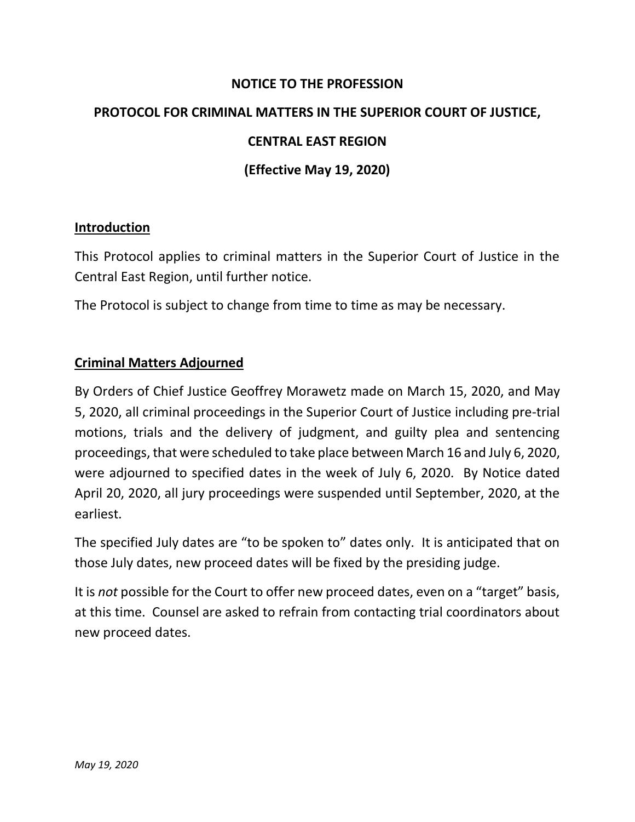#### **NOTICE TO THE PROFESSION**

### **PROTOCOL FOR CRIMINAL MATTERS IN THE SUPERIOR COURT OF JUSTICE,**

#### **CENTRAL EAST REGION**

### **(Effective May 19, 2020)**

#### **Introduction**

This Protocol applies to criminal matters in the Superior Court of Justice in the Central East Region, until further notice.

The Protocol is subject to change from time to time as may be necessary.

#### **Criminal Matters Adjourned**

By Orders of Chief Justice Geoffrey Morawetz made on March 15, 2020, and May 5, 2020, all criminal proceedings in the Superior Court of Justice including pre-trial motions, trials and the delivery of judgment, and guilty plea and sentencing proceedings, that were scheduled to take place between March 16 and July 6, 2020, were adjourned to specified dates in the week of July 6, 2020. By Notice dated April 20, 2020, all jury proceedings were suspended until September, 2020, at the earliest.

The specified July dates are "to be spoken to" dates only. It is anticipated that on those July dates, new proceed dates will be fixed by the presiding judge.

It is *not* possible for the Court to offer new proceed dates, even on a "target" basis, at this time. Counsel are asked to refrain from contacting trial coordinators about new proceed dates.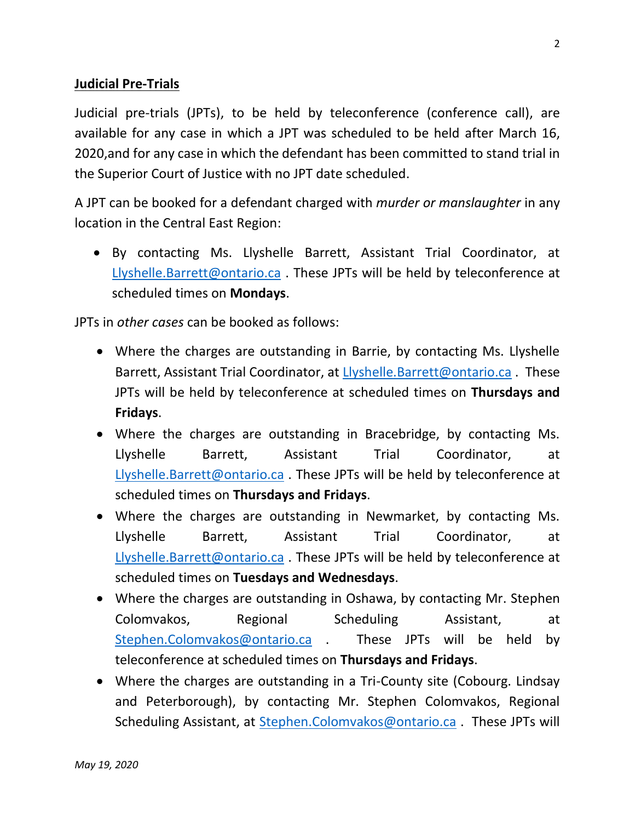### **Judicial Pre-Trials**

Judicial pre-trials (JPTs), to be held by teleconference (conference call), are available for any case in which a JPT was scheduled to be held after March 16, 2020,and for any case in which the defendant has been committed to stand trial in the Superior Court of Justice with no JPT date scheduled.

A JPT can be booked for a defendant charged with *murder or manslaughter* in any location in the Central East Region:

• By contacting Ms. Llyshelle Barrett, Assistant Trial Coordinator, at [Llyshelle.Barrett@ontario.ca](mailto:Llyshelle.Barrett@ontario.ca). These JPTs will be held by teleconference at scheduled times on **Mondays**.

JPTs in *other cases* can be booked as follows:

- Where the charges are outstanding in Barrie, by contacting Ms. Llyshelle Barrett, Assistant Trial Coordinator, at [Llyshelle.Barrett@ontario.ca](mailto:Llyshelle.Barrett@ontario.ca) . These JPTs will be held by teleconference at scheduled times on **Thursdays and Fridays**.
- Where the charges are outstanding in Bracebridge, by contacting Ms. Llyshelle Barrett, Assistant Trial Coordinator, at [Llyshelle.Barrett@ontario.ca](mailto:Llyshelle.Barrett@ontario.ca) . These JPTs will be held by teleconference at scheduled times on **Thursdays and Fridays**.
- Where the charges are outstanding in Newmarket, by contacting Ms. Llyshelle Barrett, Assistant Trial Coordinator, at [Llyshelle.Barrett@ontario.ca](mailto:Llyshelle.Barrett@ontario.ca). These JPTs will be held by teleconference at scheduled times on **Tuesdays and Wednesdays**.
- Where the charges are outstanding in Oshawa, by contacting Mr. Stephen Colomvakos, Regional Scheduling Assistant, at [Stephen.Colomvakos@ontario.ca](mailto:Stephen.Colomvakos@ontario.ca) . These JPTs will be held by teleconference at scheduled times on **Thursdays and Fridays**.
- Where the charges are outstanding in a Tri-County site (Cobourg. Lindsay and Peterborough), by contacting Mr. Stephen Colomvakos, Regional Scheduling Assistant, at [Stephen.Colomvakos@ontario.ca](mailto:Stephen.Colomvakos@ontario.ca) . These JPTs will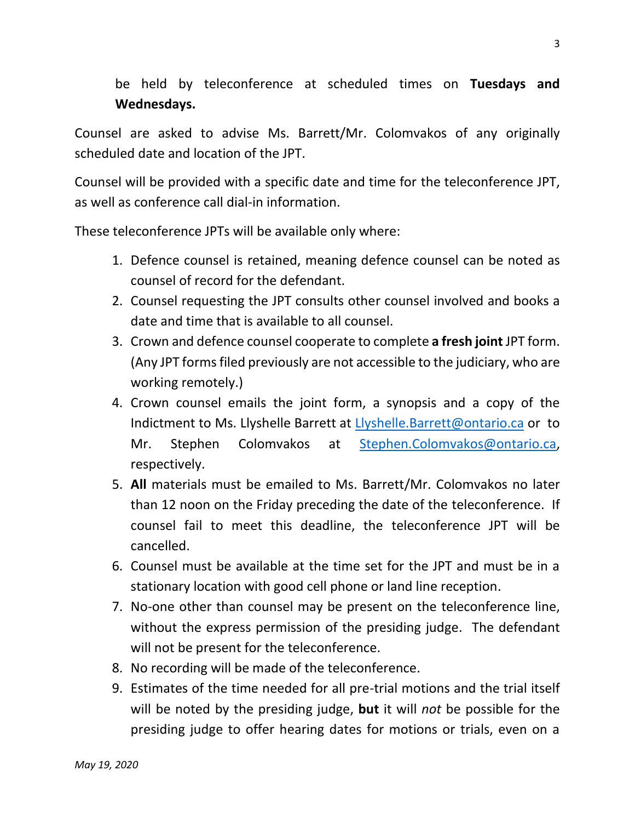be held by teleconference at scheduled times on **Tuesdays and Wednesdays.**

Counsel are asked to advise Ms. Barrett/Mr. Colomvakos of any originally scheduled date and location of the JPT.

Counsel will be provided with a specific date and time for the teleconference JPT, as well as conference call dial-in information.

These teleconference JPTs will be available only where:

- 1. Defence counsel is retained, meaning defence counsel can be noted as counsel of record for the defendant.
- 2. Counsel requesting the JPT consults other counsel involved and books a date and time that is available to all counsel.
- 3. Crown and defence counsel cooperate to complete **a fresh joint** JPT form. (Any JPT forms filed previously are not accessible to the judiciary, who are working remotely.)
- 4. Crown counsel emails the joint form, a synopsis and a copy of the Indictment to Ms. Llyshelle Barrett at [Llyshelle.Barrett@ontario.ca](mailto:Llyshelle.Barrett@ontario.ca) or to Mr. Stephen Colomvakos at [Stephen.Colomvakos@ontario.ca,](mailto:Stephen.Colomvakos@ontario.ca) respectively.
- 5. **All** materials must be emailed to Ms. Barrett/Mr. Colomvakos no later than 12 noon on the Friday preceding the date of the teleconference. If counsel fail to meet this deadline, the teleconference JPT will be cancelled.
- 6. Counsel must be available at the time set for the JPT and must be in a stationary location with good cell phone or land line reception.
- 7. No-one other than counsel may be present on the teleconference line, without the express permission of the presiding judge. The defendant will not be present for the teleconference.
- 8. No recording will be made of the teleconference.
- 9. Estimates of the time needed for all pre-trial motions and the trial itself will be noted by the presiding judge, **but** it will *not* be possible for the presiding judge to offer hearing dates for motions or trials, even on a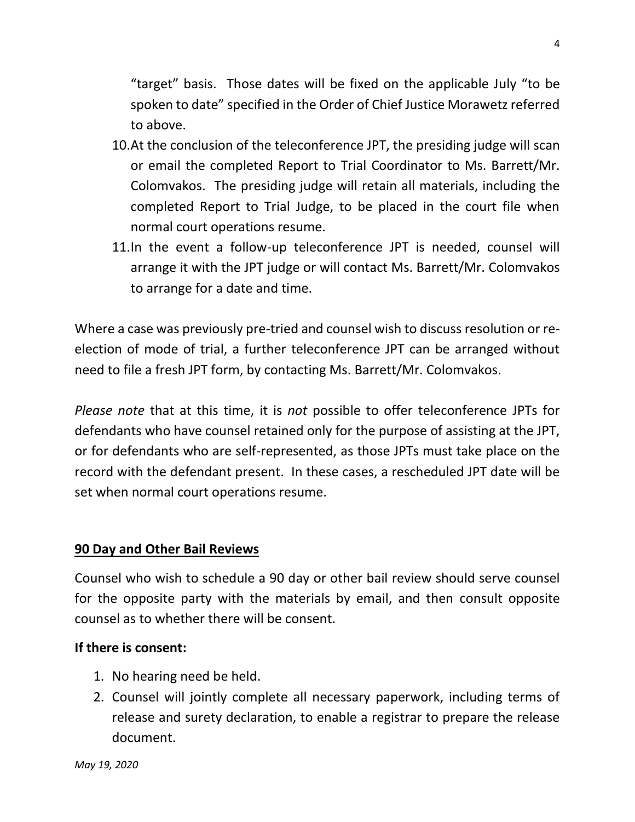"target" basis. Those dates will be fixed on the applicable July "to be spoken to date" specified in the Order of Chief Justice Morawetz referred to above.

- 10.At the conclusion of the teleconference JPT, the presiding judge will scan or email the completed Report to Trial Coordinator to Ms. Barrett/Mr. Colomvakos. The presiding judge will retain all materials, including the completed Report to Trial Judge, to be placed in the court file when normal court operations resume.
- 11.In the event a follow-up teleconference JPT is needed, counsel will arrange it with the JPT judge or will contact Ms. Barrett/Mr. Colomvakos to arrange for a date and time.

Where a case was previously pre-tried and counsel wish to discuss resolution or reelection of mode of trial, a further teleconference JPT can be arranged without need to file a fresh JPT form, by contacting Ms. Barrett/Mr. Colomvakos.

*Please note* that at this time, it is *not* possible to offer teleconference JPTs for defendants who have counsel retained only for the purpose of assisting at the JPT, or for defendants who are self-represented, as those JPTs must take place on the record with the defendant present. In these cases, a rescheduled JPT date will be set when normal court operations resume.

### **90 Day and Other Bail Reviews**

Counsel who wish to schedule a 90 day or other bail review should serve counsel for the opposite party with the materials by email, and then consult opposite counsel as to whether there will be consent.

#### **If there is consent:**

- 1. No hearing need be held.
- 2. Counsel will jointly complete all necessary paperwork, including terms of release and surety declaration, to enable a registrar to prepare the release document.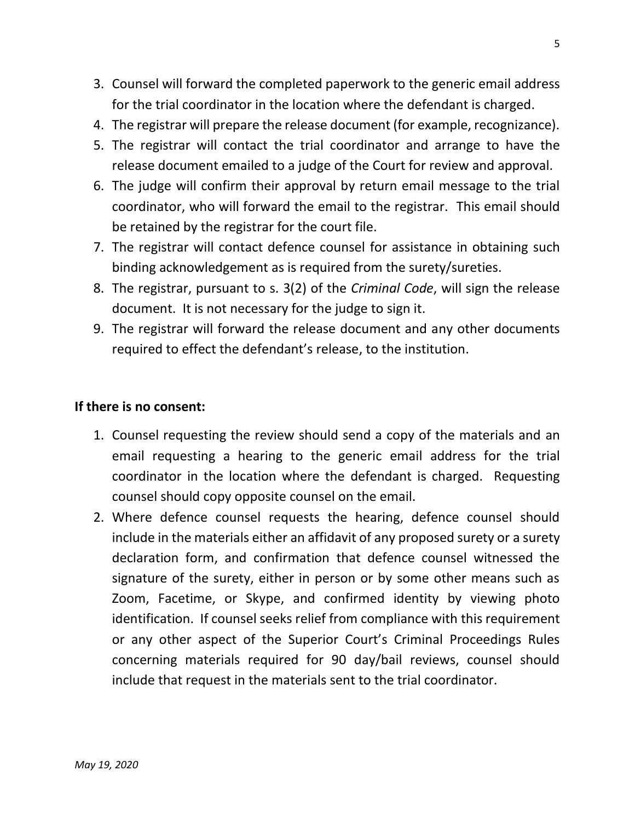- 3. Counsel will forward the completed paperwork to the generic email address for the trial coordinator in the location where the defendant is charged.
- 4. The registrar will prepare the release document (for example, recognizance).
- 5. The registrar will contact the trial coordinator and arrange to have the release document emailed to a judge of the Court for review and approval.
- 6. The judge will confirm their approval by return email message to the trial coordinator, who will forward the email to the registrar. This email should be retained by the registrar for the court file.
- 7. The registrar will contact defence counsel for assistance in obtaining such binding acknowledgement as is required from the surety/sureties.
- 8. The registrar, pursuant to s. 3(2) of the *Criminal Code*, will sign the release document. It is not necessary for the judge to sign it.
- 9. The registrar will forward the release document and any other documents required to effect the defendant's release, to the institution.

### **If there is no consent:**

- 1. Counsel requesting the review should send a copy of the materials and an email requesting a hearing to the generic email address for the trial coordinator in the location where the defendant is charged. Requesting counsel should copy opposite counsel on the email.
- 2. Where defence counsel requests the hearing, defence counsel should include in the materials either an affidavit of any proposed surety or a surety declaration form, and confirmation that defence counsel witnessed the signature of the surety, either in person or by some other means such as Zoom, Facetime, or Skype, and confirmed identity by viewing photo identification. If counsel seeks relief from compliance with this requirement or any other aspect of the Superior Court's Criminal Proceedings Rules concerning materials required for 90 day/bail reviews, counsel should include that request in the materials sent to the trial coordinator.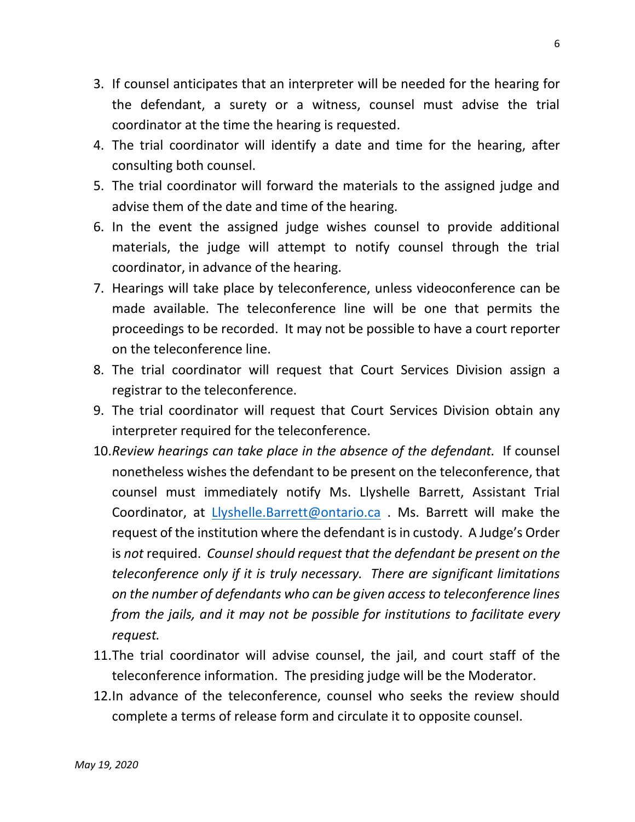- 3. If counsel anticipates that an interpreter will be needed for the hearing for the defendant, a surety or a witness, counsel must advise the trial coordinator at the time the hearing is requested.
- 4. The trial coordinator will identify a date and time for the hearing, after consulting both counsel.
- 5. The trial coordinator will forward the materials to the assigned judge and advise them of the date and time of the hearing.
- 6. In the event the assigned judge wishes counsel to provide additional materials, the judge will attempt to notify counsel through the trial coordinator, in advance of the hearing.
- 7. Hearings will take place by teleconference, unless videoconference can be made available. The teleconference line will be one that permits the proceedings to be recorded. It may not be possible to have a court reporter on the teleconference line.
- 8. The trial coordinator will request that Court Services Division assign a registrar to the teleconference.
- 9. The trial coordinator will request that Court Services Division obtain any interpreter required for the teleconference.
- 10.*Review hearings can take place in the absence of the defendant.* If counsel nonetheless wishes the defendant to be present on the teleconference, that counsel must immediately notify Ms. Llyshelle Barrett, Assistant Trial Coordinator, at [Llyshelle.Barrett@ontario.ca](mailto:Llyshelle.Barrett@ontario.ca) . Ms. Barrett will make the request of the institution where the defendant is in custody. A Judge's Order is *not* required. *Counsel should request that the defendant be present on the teleconference only if it is truly necessary. There are significant limitations on the number of defendants who can be given access to teleconference lines from the jails, and it may not be possible for institutions to facilitate every request.*
- 11.The trial coordinator will advise counsel, the jail, and court staff of the teleconference information. The presiding judge will be the Moderator.
- 12.In advance of the teleconference, counsel who seeks the review should complete a terms of release form and circulate it to opposite counsel.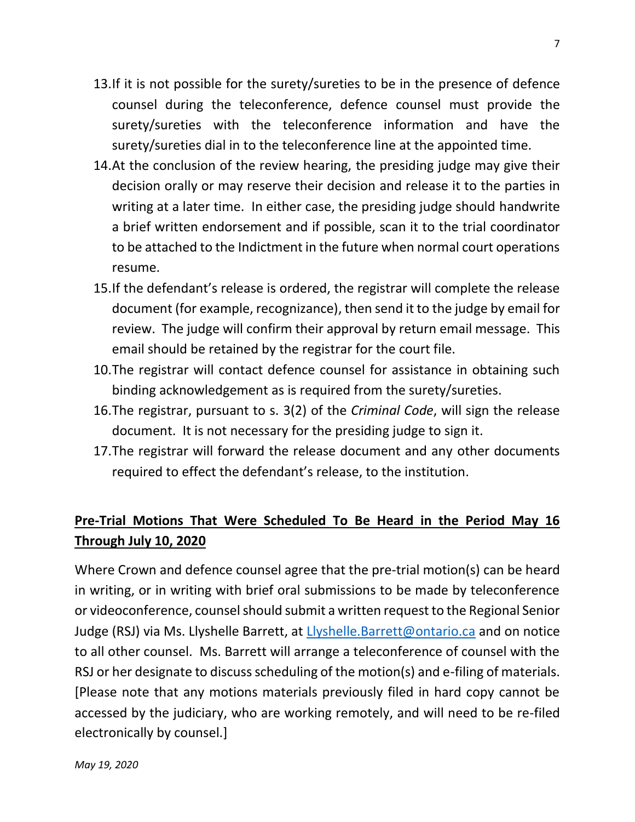- 13.If it is not possible for the surety/sureties to be in the presence of defence counsel during the teleconference, defence counsel must provide the surety/sureties with the teleconference information and have the surety/sureties dial in to the teleconference line at the appointed time.
- 14.At the conclusion of the review hearing, the presiding judge may give their decision orally or may reserve their decision and release it to the parties in writing at a later time. In either case, the presiding judge should handwrite a brief written endorsement and if possible, scan it to the trial coordinator to be attached to the Indictment in the future when normal court operations resume.
- 15.If the defendant's release is ordered, the registrar will complete the release document (for example, recognizance), then send it to the judge by email for review. The judge will confirm their approval by return email message. This email should be retained by the registrar for the court file.
- 10.The registrar will contact defence counsel for assistance in obtaining such binding acknowledgement as is required from the surety/sureties.
- 16.The registrar, pursuant to s. 3(2) of the *Criminal Code*, will sign the release document. It is not necessary for the presiding judge to sign it.
- 17.The registrar will forward the release document and any other documents required to effect the defendant's release, to the institution.

# **Pre-Trial Motions That Were Scheduled To Be Heard in the Period May 16 Through July 10, 2020**

Where Crown and defence counsel agree that the pre-trial motion(s) can be heard in writing, or in writing with brief oral submissions to be made by teleconference or videoconference, counsel should submit a written request to the Regional Senior Judge (RSJ) via Ms. Llyshelle Barrett, at [Llyshelle.Barrett@ontario.ca](mailto:Llyshelle.Barrett@ontario.ca) and on notice to all other counsel. Ms. Barrett will arrange a teleconference of counsel with the RSJ or her designate to discuss scheduling of the motion(s) and e-filing of materials. [Please note that any motions materials previously filed in hard copy cannot be accessed by the judiciary, who are working remotely, and will need to be re-filed electronically by counsel.]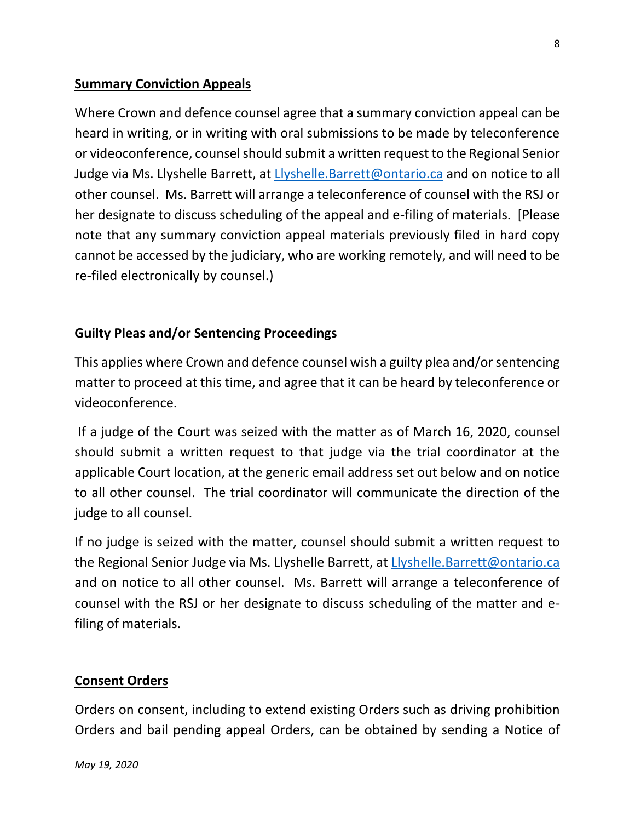## **Summary Conviction Appeals**

Where Crown and defence counsel agree that a summary conviction appeal can be heard in writing, or in writing with oral submissions to be made by teleconference or videoconference, counsel should submit a written request to the Regional Senior Judge via Ms. Llyshelle Barrett, at [Llyshelle.Barrett@ontario.ca](mailto:Llyshelle.Barrett@ontario.ca) and on notice to all other counsel. Ms. Barrett will arrange a teleconference of counsel with the RSJ or her designate to discuss scheduling of the appeal and e-filing of materials. [Please note that any summary conviction appeal materials previously filed in hard copy cannot be accessed by the judiciary, who are working remotely, and will need to be re-filed electronically by counsel.)

## **Guilty Pleas and/or Sentencing Proceedings**

This applies where Crown and defence counsel wish a guilty plea and/or sentencing matter to proceed at this time, and agree that it can be heard by teleconference or videoconference.

If a judge of the Court was seized with the matter as of March 16, 2020, counsel should submit a written request to that judge via the trial coordinator at the applicable Court location, at the generic email address set out below and on notice to all other counsel. The trial coordinator will communicate the direction of the judge to all counsel.

If no judge is seized with the matter, counsel should submit a written request to the Regional Senior Judge via Ms. Llyshelle Barrett, at [Llyshelle.Barrett@ontario.ca](mailto:Llyshelle.Barrett@ontario.ca) and on notice to all other counsel. Ms. Barrett will arrange a teleconference of counsel with the RSJ or her designate to discuss scheduling of the matter and efiling of materials.

### **Consent Orders**

Orders on consent, including to extend existing Orders such as driving prohibition Orders and bail pending appeal Orders, can be obtained by sending a Notice of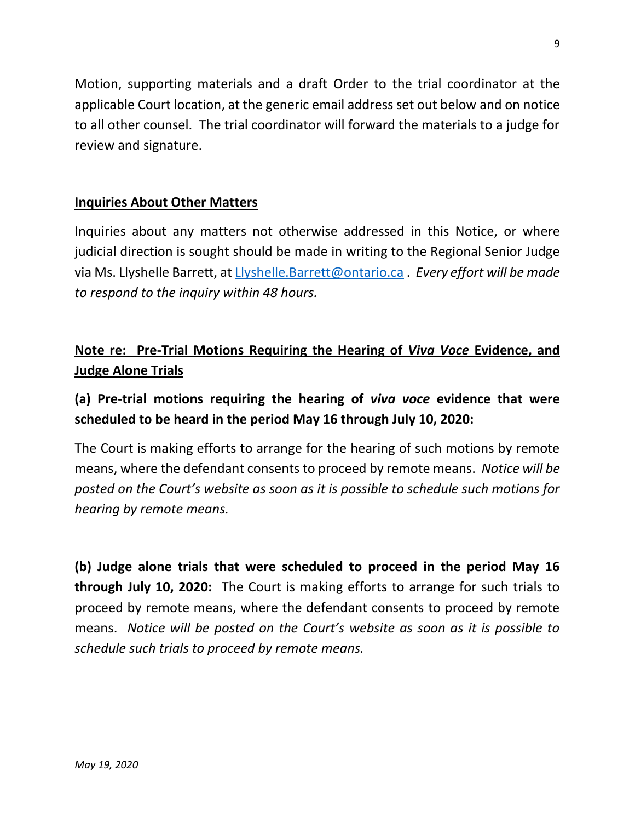Motion, supporting materials and a draft Order to the trial coordinator at the applicable Court location, at the generic email address set out below and on notice to all other counsel. The trial coordinator will forward the materials to a judge for review and signature.

### **Inquiries About Other Matters**

Inquiries about any matters not otherwise addressed in this Notice, or where judicial direction is sought should be made in writing to the Regional Senior Judge via Ms. Llyshelle Barrett, at [Llyshelle.Barrett@ontario.ca](mailto:Llyshelle.Barrett@ontario.ca) . *Every effort will be made to respond to the inquiry within 48 hours.*

## **Note re: Pre-Trial Motions Requiring the Hearing of** *Viva Voce* **Evidence, and Judge Alone Trials**

## **(a) Pre-trial motions requiring the hearing of** *viva voce* **evidence that were scheduled to be heard in the period May 16 through July 10, 2020:**

The Court is making efforts to arrange for the hearing of such motions by remote means, where the defendant consents to proceed by remote means. *Notice will be posted on the Court's website as soon as it is possible to schedule such motions for hearing by remote means.*

**(b) Judge alone trials that were scheduled to proceed in the period May 16 through July 10, 2020:** The Court is making efforts to arrange for such trials to proceed by remote means, where the defendant consents to proceed by remote means. *Notice will be posted on the Court's website as soon as it is possible to schedule such trials to proceed by remote means.*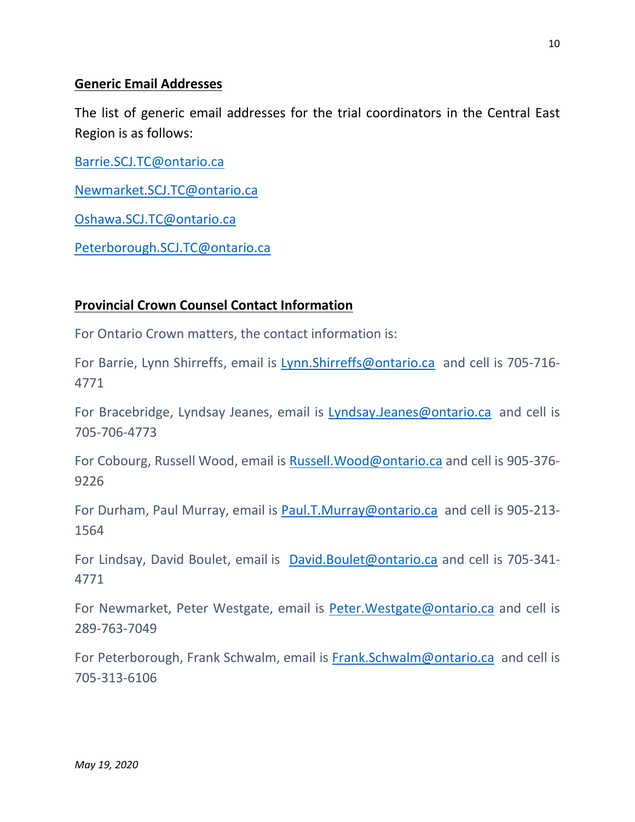#### **Generic Email Addresses**

The list of generic email addresses for the trial coordinators in the Central East Region is as follows:

[Barrie.SCJ.TC@ontario.ca](mailto:Barrie.SCJ.TC@ontario.ca)

[Newmarket.SCJ.TC@ontario.ca](mailto:Newmarket.SCJ.TC@ontario.ca)

[Oshawa.SCJ.TC@ontario.ca](mailto:Oshawa.SCJ.TC@ontario.ca)

[Peterborough.SCJ.TC@ontario.ca](mailto:Peterborough.SCJ.TC@ontario.ca)

### **Provincial Crown Counsel Contact Information**

For Ontario Crown matters, the contact information is:

For Barrie, Lynn Shirreffs, email is [Lynn.Shirreffs@ontario.ca](mailto:Lynn.Shirreffs@ontario.ca) and cell is 705-716- 4771

For Bracebridge, Lyndsay Jeanes, email is [Lyndsay.Jeanes@ontario.ca](mailto:Lyndsay.Jeanes@ontario.ca) and cell is 705-706-4773

For Cobourg, Russell Wood, email is [Russell.Wood@ontario.ca](mailto:Russell.Wood@ontario.ca) and cell is 905-376- 9226

For Durham, Paul Murray, email is [Paul.T.Murray@ontario.ca](mailto:Paul.T.Murray@ontario.ca) and cell is 905-213- 1564

For Lindsay, David Boulet, email is [David.Boulet@ontario.ca](mailto:David.Boulet@ontario.ca) and cell is 705-341-4771

For Newmarket, Peter Westgate, email is [Peter.Westgate@ontario.ca](mailto:Peter.Westgate@ontario.ca) and cell is 289-763-7049

For Peterborough, Frank Schwalm, email is [Frank.Schwalm@ontario.ca](mailto:Frank.Schwalm@ontario.ca) and cell is 705-313-6106